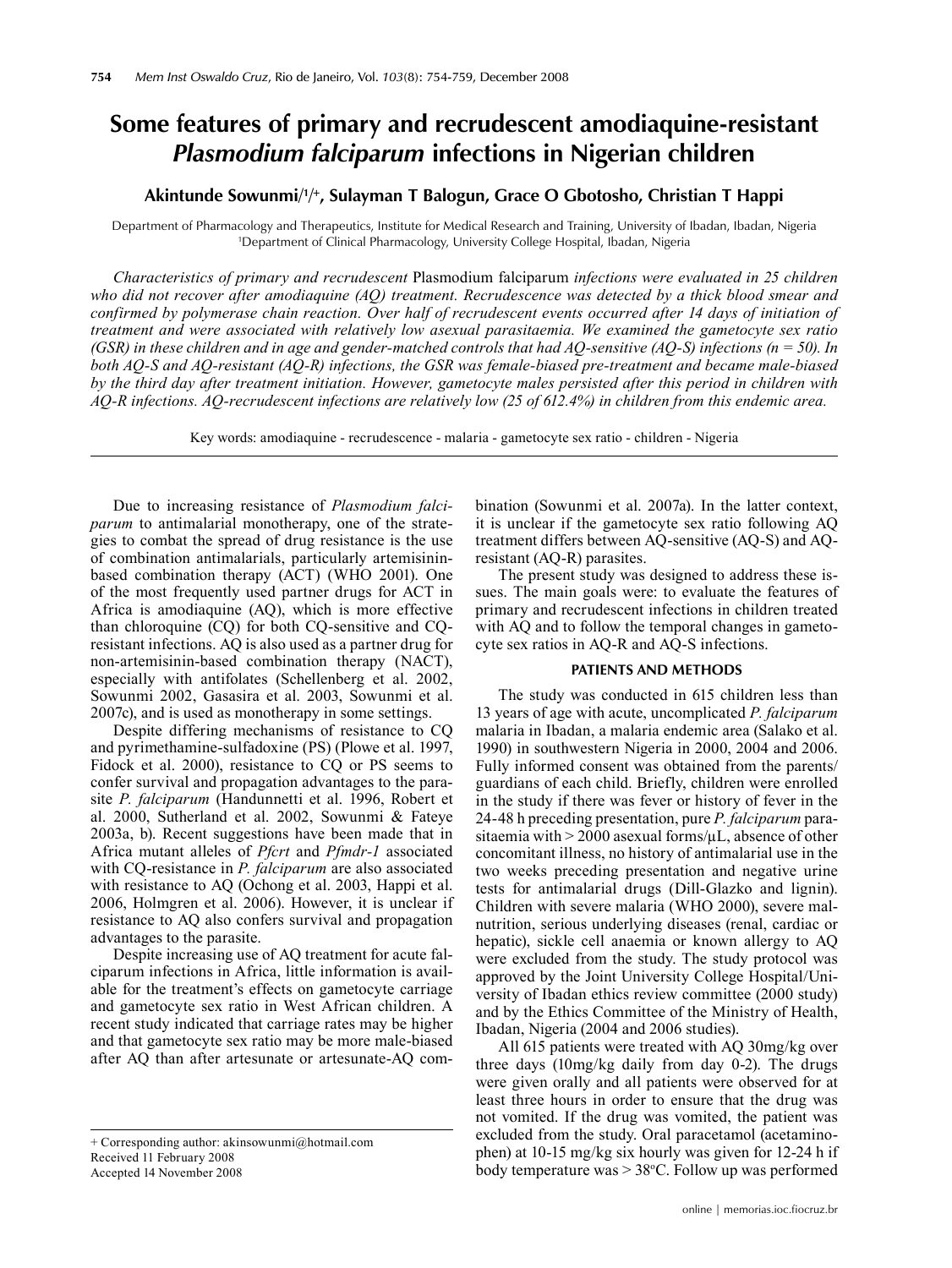# **Some features of primary and recrudescent amodiaquine-resistant**  *Plasmodium falciparum* **infections in Nigerian children**

## **Akintunde Sowunmi/1 / +, Sulayman T Balogun, Grace O Gbotosho, Christian T Happi**

Department of Pharmacology and Therapeutics, Institute for Medical Research and Training, University of Ibadan, Ibadan, Nigeria 1 Department of Clinical Pharmacology, University College Hospital, Ibadan, Nigeria

*Characteristics of primary and recrudescent* Plasmodium falciparum *infections were evaluated in 25 children who did not recover after amodiaquine (AQ) treatment. Recrudescence was detected by a thick blood smear and confirmed by polymerase chain reaction. Over half of recrudescent events occurred after 14 days of initiation of treatment and were associated with relatively low asexual parasitaemia. We examined the gametocyte sex ratio (GSR) in these children and in age and gender-matched controls that had AQ-sensitive (AQ-S) infections (n = 50). In both AQ-S and AQ-resistant (AQ-R) infections, the GSR was female-biased pre-treatment and became male-biased by the third day after treatment initiation. However, gametocyte males persisted after this period in children with AQ-R infections. AQ-recrudescent infections are relatively low (25 of 612.4%) in children from this endemic area.*

Key words: amodiaquine - recrudescence - malaria - gametocyte sex ratio - children - Nigeria

Due to increasing resistance of *Plasmodium falciparum* to antimalarial monotherapy, one of the strategies to combat the spread of drug resistance is the use of combination antimalarials, particularly artemisininbased combination therapy (ACT) (WHO 2001). One of the most frequently used partner drugs for ACT in Africa is amodiaquine (AQ), which is more effective than chloroquine (CQ) for both CQ-sensitive and CQresistant infections. AQ is also used as a partner drug for non-artemisinin-based combination therapy (NACT), especially with antifolates (Schellenberg et al. 2002, Sowunmi 2002, Gasasira et al. 2003, Sowunmi et al. 2007c), and is used as monotherapy in some settings.

Despite differing mechanisms of resistance to CQ and pyrimethamine-sulfadoxine (PS) (Plowe et al. 1997, Fidock et al. 2000), resistance to CQ or PS seems to confer survival and propagation advantages to the parasite *P. falciparum* (Handunnetti et al. 1996, Robert et al. 2000, Sutherland et al. 2002, Sowunmi & Fateye 2003a, b). Recent suggestions have been made that in Africa mutant alleles of *Pfcrt* and *Pfmdr-1* associated with CQ-resistance in *P. falciparum* are also associated with resistance to AQ (Ochong et al. 2003, Happi et al. 2006, Holmgren et al. 2006). However, it is unclear if resistance to AQ also confers survival and propagation advantages to the parasite.

Despite increasing use of AQ treatment for acute falciparum infections in Africa, little information is available for the treatment's effects on gametocyte carriage and gametocyte sex ratio in West African children. A recent study indicated that carriage rates may be higher and that gametocyte sex ratio may be more male-biased after AQ than after artesunate or artesunate-AQ com-

Accepted 14 November 2008

bination (Sowunmi et al. 2007a). In the latter context, it is unclear if the gametocyte sex ratio following AQ treatment differs between AQ-sensitive (AQ-S) and AQresistant (AQ-R) parasites.

The present study was designed to address these issues. The main goals were: to evaluate the features of primary and recrudescent infections in children treated with AQ and to follow the temporal changes in gametocyte sex ratios in AQ-R and AQ-S infections.

### **PATIENTS AND METHODS**

The study was conducted in 615 children less than 13 years of age with acute, uncomplicated *P. falciparum* malaria in Ibadan, a malaria endemic area (Salako et al. 1990) in southwestern Nigeria in 2000, 2004 and 2006. Fully informed consent was obtained from the parents/ guardians of each child. Briefly, children were enrolled in the study if there was fever or history of fever in the 24-48 h preceding presentation, pure *P. falciparum* parasitaemia with  $> 2000$  asexual forms/ $\mu$ L, absence of other concomitant illness, no history of antimalarial use in the two weeks preceding presentation and negative urine tests for antimalarial drugs (Dill-Glazko and lignin). Children with severe malaria (WHO 2000), severe malnutrition, serious underlying diseases (renal, cardiac or hepatic), sickle cell anaemia or known allergy to AQ were excluded from the study. The study protocol was approved by the Joint University College Hospital/University of Ibadan ethics review committee (2000 study) and by the Ethics Committee of the Ministry of Health, Ibadan, Nigeria (2004 and 2006 studies).

All 615 patients were treated with AQ 30mg/kg over three days (10mg/kg daily from day 0-2). The drugs were given orally and all patients were observed for at least three hours in order to ensure that the drug was not vomited. If the drug was vomited, the patient was excluded from the study. Oral paracetamol (acetaminophen) at 10-15 mg/kg six hourly was given for 12-24 h if body temperature was > 38°C. Follow up was performed

<sup>+</sup> Corresponding author: akinsowunmi@hotmail.com Received 11 February 2008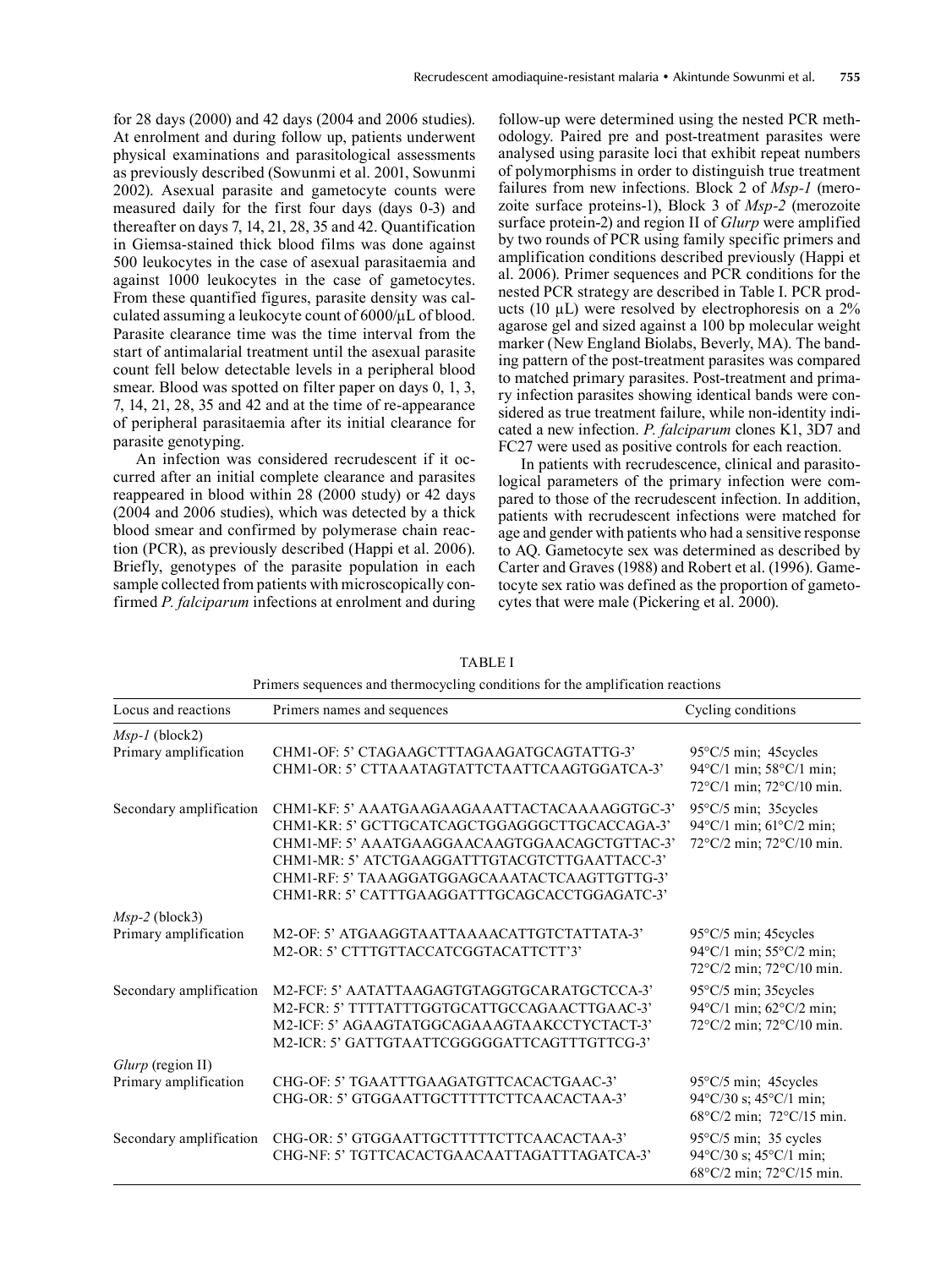for 28 days (2000) and 42 days (2004 and 2006 studies). At enrolment and during follow up, patients underwent physical examinations and parasitological assessments as previously described (Sowunmi et al. 2001, Sowunmi 2002). Asexual parasite and gametocyte counts were measured daily for the first four days (days 0-3) and thereafter on days 7, 14, 21, 28, 35 and 42. Quantification in Giemsa-stained thick blood films was done against 500 leukocytes in the case of asexual parasitaemia and against 1000 leukocytes in the case of gametocytes. From these quantified figures, parasite density was calculated assuming a leukocyte count of 6000/µL of blood. Parasite clearance time was the time interval from the start of antimalarial treatment until the asexual parasite count fell below detectable levels in a peripheral blood smear. Blood was spotted on filter paper on days 0, 1, 3, 7, 14, 21, 28, 35 and 42 and at the time of re-appearance of peripheral parasitaemia after its initial clearance for parasite genotyping.

An infection was considered recrudescent if it occurred after an initial complete clearance and parasites reappeared in blood within 28 (2000 study) or 42 days (2004 and 2006 studies), which was detected by a thick blood smear and confirmed by polymerase chain reaction (PCR), as previously described (Happi et al. 2006). Briefly, genotypes of the parasite population in each sample collected from patients with microscopically confirmed *P. falciparum* infections at enrolment and during follow-up were determined using the nested PCR methodology. Paired pre and post-treatment parasites were analysed using parasite loci that exhibit repeat numbers of polymorphisms in order to distinguish true treatment failures from new infections. Block 2 of *Msp-1* (merozoite surface proteins-1), Block 3 of *Msp-2* (merozoite surface protein-2) and region II of *Glurp* were amplified by two rounds of PCR using family specific primers and amplification conditions described previously (Happi et al. 2006). Primer sequences and PCR conditions for the nested PCR strategy are described in Table I. PCR products (10 µL) were resolved by electrophoresis on a 2% agarose gel and sized against a 100 bp molecular weight marker (New England Biolabs, Beverly, MA). The banding pattern of the post-treatment parasites was compared to matched primary parasites. Post-treatment and primary infection parasites showing identical bands were considered as true treatment failure, while non-identity indicated a new infection. *P. falciparum* clones K1, 3D7 and FC27 were used as positive controls for each reaction.

In patients with recrudescence, clinical and parasitological parameters of the primary infection were compared to those of the recrudescent infection. In addition, patients with recrudescent infections were matched for age and gender with patients who had a sensitive response to AQ. Gametocyte sex was determined as described by Carter and Graves (1988) and Robert et al. (1996). Gametocyte sex ratio was defined as the proportion of gametocytes that were male (Pickering et al. 2000).

| Primers sequences and thermocycling conditions for the amplification reactions |                                                                                                                                                                                                                                                                                                    |                                                                                                           |  |
|--------------------------------------------------------------------------------|----------------------------------------------------------------------------------------------------------------------------------------------------------------------------------------------------------------------------------------------------------------------------------------------------|-----------------------------------------------------------------------------------------------------------|--|
| Locus and reactions                                                            | Primers names and sequences                                                                                                                                                                                                                                                                        | Cycling conditions                                                                                        |  |
| $Msp-1$ (block2)                                                               |                                                                                                                                                                                                                                                                                                    |                                                                                                           |  |
| Primary amplification                                                          | CHM1-OF: 5' CTAGA AGCTTTAGA AGATGCAGTATTG-3'<br>CHM1-OR: 5' CTTAAATAGTATTCTAATTCAAGTGGATCA-3'                                                                                                                                                                                                      | 95°C/5 min; 45 cycles<br>94°C/1 min; 58°C/1 min;<br>72°C/1 min; 72°C/10 min.                              |  |
| Secondary amplification                                                        | CHM1-KF: 5' AAATGAAGAAGAAATTACTACAAAAGGTGC-3'<br>CHM1-KR: 5' GCTTGCATCAGCTGGAGGGCTTGCACCAGA-3'<br>CHM1-MF: 5' AAATGAAGGAACAAGTGGAACAGCTGTTAC-3'<br>CHM1-MR: 5' ATCTGAAGGATTTGTACGTCTTGAATTACC-3'<br>CHM1-RF: 5' TAAAGGATGGAGCAAATACTCAAGTTGTTG-3'<br>CHM1-RR: 5' CATTTGAAGGATTTGCAGCACCTGGAGATC-3' | 95°C/5 min; 35 cycles<br>94°C/1 min; 61°C/2 min;<br>72°C/2 min; 72°C/10 min.                              |  |
| $Msp-2$ (block3)                                                               |                                                                                                                                                                                                                                                                                                    |                                                                                                           |  |
| Primary amplification                                                          | M2-OF: 5' ATGAAGGTAATTAAAACATTGTCTATTATA-3'<br>M2-OR: 5' CTTTGTTACCATCGGTACATTCTT'3'                                                                                                                                                                                                               | 95°C/5 min; 45cycles<br>94°C/1 min; 55°C/2 min;<br>72°C/2 min; 72°C/10 min.                               |  |
| Secondary amplification                                                        | M2-FCF: 5' AATATTAAGAGTGTAGGTGCARATGCTCCA-3'<br>M2-FCR: 5' TTTTATTTGGTGCATTGCCAGAACTTGAAC-3'<br>M2-ICF: 5' AGAAGTATGGCAGAAAGTAAKCCTYCTACT-3'<br>M2-ICR: 5' GATTGTAATTCGGGGGATTCAGTTTGTTCG-3'                                                                                                       | 95°C/5 min; 35 cycles<br>94°C/1 min; 62°C/2 min;<br>72°C/2 min; 72°C/10 min.                              |  |
| Glurp (region II)                                                              |                                                                                                                                                                                                                                                                                                    |                                                                                                           |  |
| Primary amplification                                                          | CHG-OF: 5' TGAATTTGAAGATGTTCACACTGAAC-3'<br>CHG-OR: 5' GTGGAATTGCTTTTTCTTCAACACTAA-3'                                                                                                                                                                                                              | 95°C/5 min; 45cycles<br>94°C/30 s; 45°C/1 min;<br>$68^{\circ}$ C/2 min; 72 $^{\circ}$ C/15 min.           |  |
| Secondary amplification                                                        | CHG-OR: 5' GTGGAATTGCTTTTTCTTCAACACTAA-3'<br>CHG-NF: 5' TGTTCACACTGAACAATTAGATTTAGATCA-3'                                                                                                                                                                                                          | $95^{\circ}$ C/5 min; 35 cycles<br>94°C/30 s; 45°C/1 min;<br>$68^{\circ}$ C/2 min; $72^{\circ}$ C/15 min. |  |

TABLE I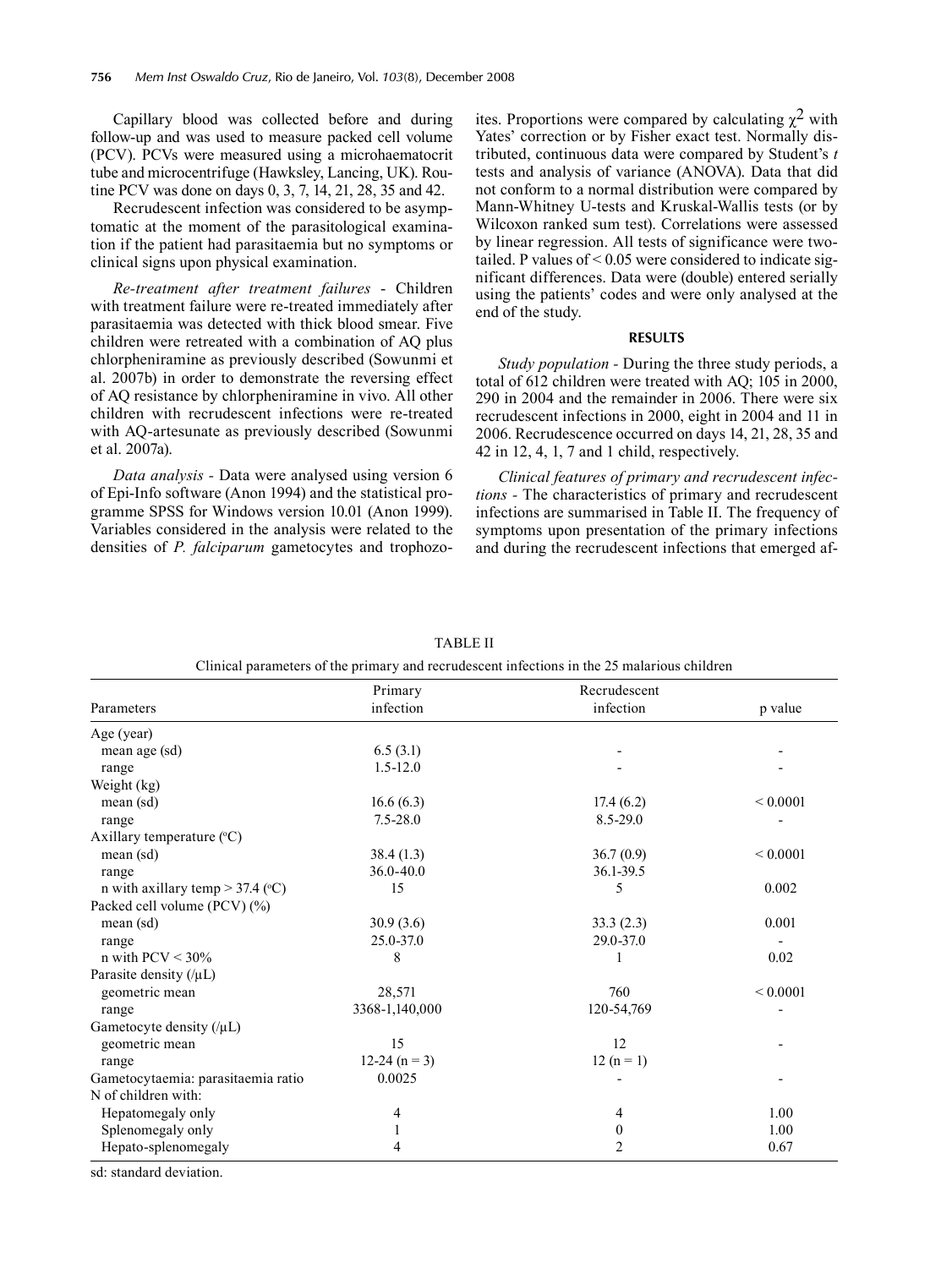Capillary blood was collected before and during follow-up and was used to measure packed cell volume (PCV). PCVs were measured using a microhaematocrit tube and microcentrifuge (Hawksley, Lancing, UK). Routine PCV was done on days 0, 3, 7, 14, 21, 28, 35 and 42.

Recrudescent infection was considered to be asymptomatic at the moment of the parasitological examination if the patient had parasitaemia but no symptoms or clinical signs upon physical examination.

*Re-treatment after treatment failures* - Children with treatment failure were re-treated immediately after parasitaemia was detected with thick blood smear. Five children were retreated with a combination of AQ plus chlorpheniramine as previously described (Sowunmi et al. 2007b) in order to demonstrate the reversing effect of AQ resistance by chlorpheniramine in vivo. All other children with recrudescent infections were re-treated with AQ-artesunate as previously described (Sowunmi et al. 2007a).

*Data analysis -* Data were analysed using version 6 of Epi-Info software (Anon 1994) and the statistical programme SPSS for Windows version 10.01 (Anon 1999). Variables considered in the analysis were related to the densities of *P. falciparum* gametocytes and trophozoites. Proportions were compared by calculating  $\gamma^2$  with Yates' correction or by Fisher exact test. Normally distributed, continuous data were compared by Student's *t*  tests and analysis of variance (ANOVA). Data that did not conform to a normal distribution were compared by Mann-Whitney U-tests and Kruskal-Wallis tests (or by Wilcoxon ranked sum test). Correlations were assessed by linear regression. All tests of significance were twotailed. P values of < 0.05 were considered to indicate significant differences. Data were (double) entered serially using the patients' codes and were only analysed at the end of the study.

### **RESULTS**

*Study population -* During the three study periods, a total of 612 children were treated with AQ; 105 in 2000, 290 in 2004 and the remainder in 2006. There were six recrudescent infections in 2000, eight in 2004 and 11 in 2006. Recrudescence occurred on days 14, 21, 28, 35 and 42 in 12, 4, 1, 7 and 1 child, respectively.

*Clinical features of primary and recrudescent infections -* The characteristics of primary and recrudescent infections are summarised in Table II. The frequency of symptoms upon presentation of the primary infections and during the recrudescent infections that emerged af-

|                                      | Primary           | Recrudescent     |               |
|--------------------------------------|-------------------|------------------|---------------|
| Parameters                           | infection         | infection        | p value       |
| Age (year)                           |                   |                  |               |
| mean age (sd)                        | 6.5(3.1)          |                  |               |
| range                                | $1.5 - 12.0$      |                  |               |
| Weight (kg)                          |                   |                  |               |
| mean (sd)                            | 16.6(6.3)         | 17.4(6.2)        | ${}_{0.0001}$ |
| range                                | $7.5 - 28.0$      | 8.5-29.0         |               |
| Axillary temperature $({}^{\circ}C)$ |                   |                  |               |
| mean (sd)                            | 38.4(1.3)         | 36.7(0.9)        | ${}_{0.0001}$ |
| range                                | $36.0 - 40.0$     | 36.1-39.5        |               |
| n with axillary temp $>$ 37.4 (°C)   | 15                | 5                | 0.002         |
| Packed cell volume (PCV) (%)         |                   |                  |               |
| mean (sd)                            | 30.9(3.6)         | 33.3(2.3)        | 0.001         |
| range                                | 25.0-37.0         | 29.0-37.0        |               |
| n with $PCV < 30\%$                  | 8                 |                  | 0.02          |
| Parasite density $( / \mu L)$        |                   |                  |               |
| geometric mean                       | 28,571            | 760              | ${}_{0.0001}$ |
| range                                | 3368-1,140,000    | 120-54,769       |               |
| Gametocyte density $( / \mu L)$      |                   |                  |               |
| geometric mean                       | 15                | 12               |               |
| range                                | 12-24 ( $n = 3$ ) | $12(n = 1)$      |               |
| Gametocytaemia: parasitaemia ratio   | 0.0025            |                  |               |
| N of children with:                  |                   |                  |               |
| Hepatomegaly only                    | 4                 | 4                | 1.00          |
| Splenomegaly only                    |                   | $\boldsymbol{0}$ | 1.00          |
| Hepato-splenomegaly                  | 4                 | 2                | 0.67          |

TABLE II

sd: standard deviation.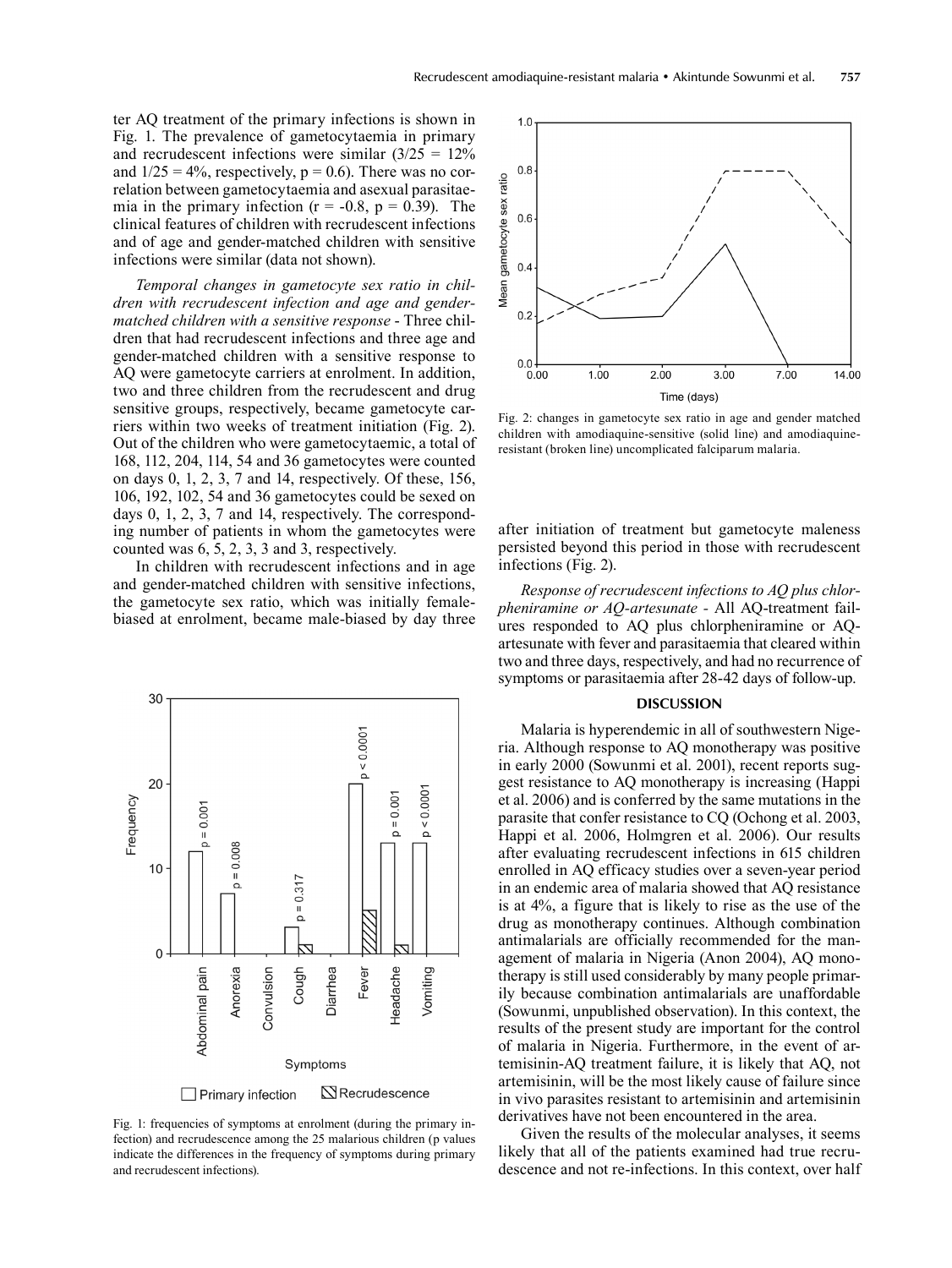ter AQ treatment of the primary infections is shown in Fig. 1. The prevalence of gametocytaemia in primary and recrudescent infections were similar  $(3/25 = 12\%)$ and  $1/25 = 4\%$ , respectively,  $p = 0.6$ ). There was no correlation between gametocytaemia and asexual parasitaemia in the primary infection  $(r = -0.8, p = 0.39)$ . The clinical features of children with recrudescent infections and of age and gender-matched children with sensitive infections were similar (data not shown).

*Temporal changes in gametocyte sex ratio in children with recrudescent infection and age and gendermatched children with a sensitive response* - Three children that had recrudescent infections and three age and gender-matched children with a sensitive response to AQ were gametocyte carriers at enrolment. In addition, two and three children from the recrudescent and drug sensitive groups, respectively, became gametocyte carriers within two weeks of treatment initiation (Fig. 2). Out of the children who were gametocytaemic, a total of 168, 112, 204, 114, 54 and 36 gametocytes were counted on days 0, 1, 2, 3, 7 and 14, respectively. Of these, 156, 106, 192, 102, 54 and 36 gametocytes could be sexed on days 0, 1, 2, 3, 7 and 14, respectively. The corresponding number of patients in whom the gametocytes were counted was 6, 5, 2, 3, 3 and 3, respectively.

In children with recrudescent infections and in age and gender-matched children with sensitive infections, the gametocyte sex ratio, which was initially femalebiased at enrolment, became male-biased by day three



Fig. 1: frequencies of symptoms at enrolment (during the primary infection) and recrudescence among the 25 malarious children (p values indicate the differences in the frequency of symptoms during primary and recrudescent infections).



Fig. 2: changes in gametocyte sex ratio in age and gender matched children with amodiaquine-sensitive (solid line) and amodiaquineresistant (broken line) uncomplicated falciparum malaria.

after initiation of treatment but gametocyte maleness persisted beyond this period in those with recrudescent infections (Fig. 2).

*Response of recrudescent infections to AQ plus chlorpheniramine or AQ-artesunate -* All AQ-treatment failures responded to AQ plus chlorpheniramine or AQartesunate with fever and parasitaemia that cleared within two and three days, respectively, and had no recurrence of symptoms or parasitaemia after 28-42 days of follow-up.

#### **DISCUSSION**

Malaria is hyperendemic in all of southwestern Nigeria. Although response to AQ monotherapy was positive in early 2000 (Sowunmi et al. 2001), recent reports suggest resistance to AQ monotherapy is increasing (Happi et al. 2006) and is conferred by the same mutations in the parasite that confer resistance to CQ (Ochong et al. 2003, Happi et al. 2006, Holmgren et al. 2006). Our results after evaluating recrudescent infections in 615 children enrolled in AQ efficacy studies over a seven-year period in an endemic area of malaria showed that AQ resistance is at 4%, a figure that is likely to rise as the use of the drug as monotherapy continues. Although combination antimalarials are officially recommended for the management of malaria in Nigeria (Anon 2004), AQ monotherapy is still used considerably by many people primarily because combination antimalarials are unaffordable (Sowunmi, unpublished observation). In this context, the results of the present study are important for the control of malaria in Nigeria. Furthermore, in the event of artemisinin-AQ treatment failure, it is likely that AQ, not artemisinin, will be the most likely cause of failure since in vivo parasites resistant to artemisinin and artemisinin derivatives have not been encountered in the area.

Given the results of the molecular analyses, it seems likely that all of the patients examined had true recrudescence and not re-infections. In this context, over half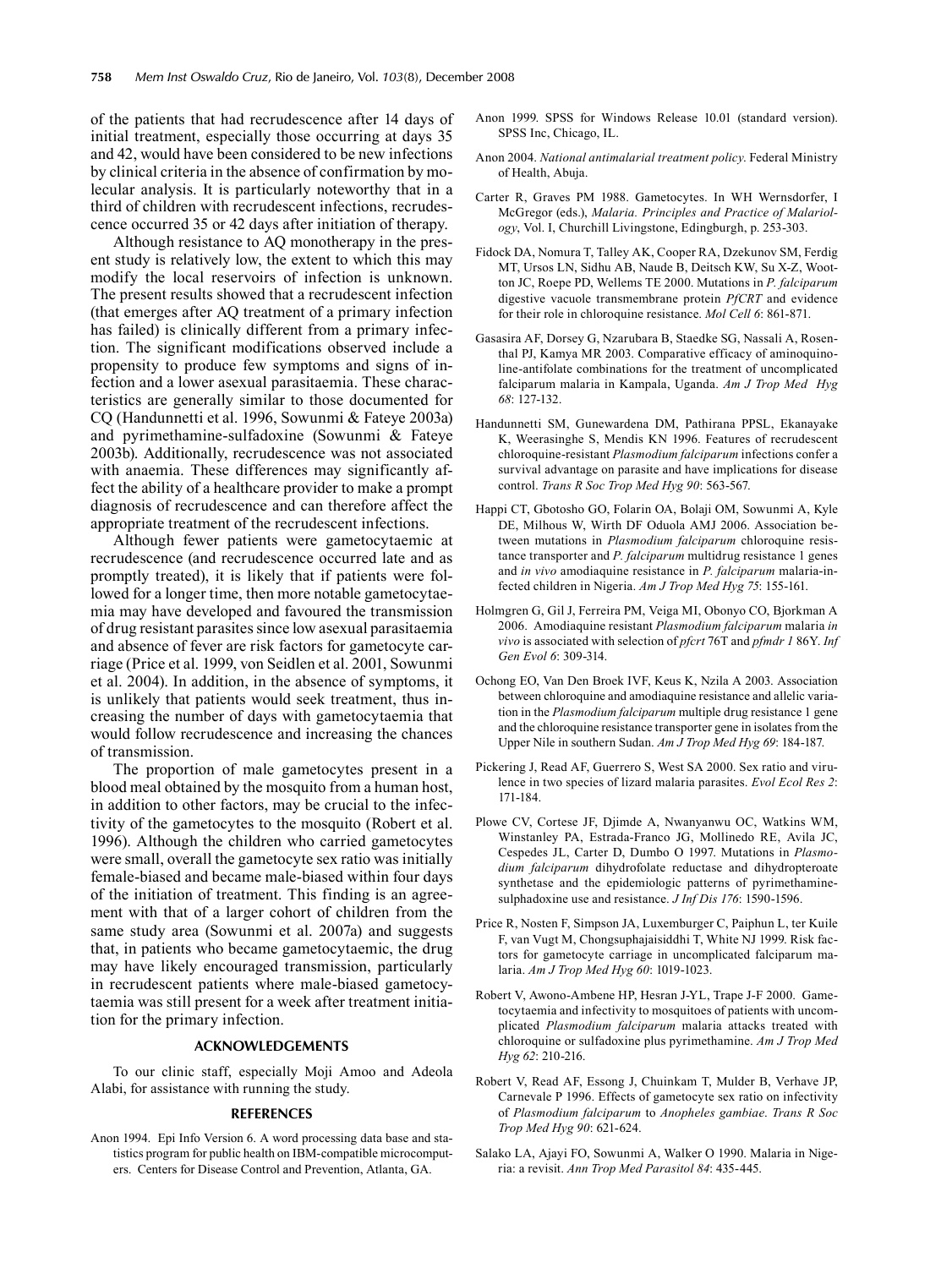of the patients that had recrudescence after 14 days of initial treatment, especially those occurring at days 35 and 42, would have been considered to be new infections by clinical criteria in the absence of confirmation by molecular analysis. It is particularly noteworthy that in a third of children with recrudescent infections, recrudescence occurred 35 or 42 days after initiation of therapy.

Although resistance to AQ monotherapy in the present study is relatively low, the extent to which this may modify the local reservoirs of infection is unknown. The present results showed that a recrudescent infection (that emerges after AQ treatment of a primary infection has failed) is clinically different from a primary infection. The significant modifications observed include a propensity to produce few symptoms and signs of infection and a lower asexual parasitaemia. These characteristics are generally similar to those documented for CQ (Handunnetti et al. 1996, Sowunmi & Fateye 2003a) and pyrimethamine-sulfadoxine (Sowunmi & Fateye 2003b). Additionally, recrudescence was not associated with anaemia. These differences may significantly affect the ability of a healthcare provider to make a prompt diagnosis of recrudescence and can therefore affect the appropriate treatment of the recrudescent infections.

Although fewer patients were gametocytaemic at recrudescence (and recrudescence occurred late and as promptly treated), it is likely that if patients were followed for a longer time, then more notable gametocytaemia may have developed and favoured the transmission of drug resistant parasites since low asexual parasitaemia and absence of fever are risk factors for gametocyte carriage (Price et al. 1999, von Seidlen et al. 2001, Sowunmi et al. 2004). In addition, in the absence of symptoms, it is unlikely that patients would seek treatment, thus increasing the number of days with gametocytaemia that would follow recrudescence and increasing the chances of transmission.

The proportion of male gametocytes present in a blood meal obtained by the mosquito from a human host, in addition to other factors, may be crucial to the infectivity of the gametocytes to the mosquito (Robert et al. 1996). Although the children who carried gametocytes were small, overall the gametocyte sex ratio was initially female-biased and became male-biased within four days of the initiation of treatment. This finding is an agreement with that of a larger cohort of children from the same study area (Sowunmi et al. 2007a) and suggests that, in patients who became gametocytaemic, the drug may have likely encouraged transmission, particularly in recrudescent patients where male-biased gametocytaemia was still present for a week after treatment initiation for the primary infection.

#### **ACKNOWLEDGEMENTS**

To our clinic staff, especially Moji Amoo and Adeola Alabi, for assistance with running the study.

#### **REFERENCES**

Anon 1994. Epi Info Version 6. A word processing data base and statistics program for public health on IBM-compatible microcomputers. Centers for Disease Control and Prevention, Atlanta, GA.

- Anon 1999. SPSS for Windows Release 10.01 (standard version). SPSS Inc, Chicago, IL.
- Anon 2004. *National antimalarial treatment policy*. Federal Ministry of Health, Abuja.
- Carter R, Graves PM 1988. Gametocytes. In WH Wernsdorfer, I McGregor (eds.), *Malaria. Principles and Practice of Malariology*, Vol. I, Churchill Livingstone, Edingburgh, p. 253-303.
- Fidock DA, Nomura T, Talley AK, Cooper RA, Dzekunov SM, Ferdig MT, Ursos LN, Sidhu AB, Naude B, Deitsch KW, Su X-Z, Wootton JC, Roepe PD, Wellems TE 2000. Mutations in *P. falciparum* digestive vacuole transmembrane protein *PfCRT* and evidence for their role in chloroquine resistance. *Mol Cell 6*: 861-871.
- Gasasira AF, Dorsey G, Nzarubara B, Staedke SG, Nassali A, Rosenthal PJ, Kamya MR 2003. Comparative efficacy of aminoquinoline-antifolate combinations for the treatment of uncomplicated falciparum malaria in Kampala, Uganda. *Am J Trop Med Hyg 68*: 127-132.
- Handunnetti SM, Gunewardena DM, Pathirana PPSL, Ekanayake K, Weerasinghe S, Mendis KN 1996. Features of recrudescent chloroquine-resistant *Plasmodium falciparum* infections confer a survival advantage on parasite and have implications for disease control. *Trans R Soc Trop Med Hyg 90*: 563-567.
- Happi CT, Gbotosho GO, Folarin OA, Bolaji OM, Sowunmi A, Kyle DE, Milhous W, Wirth DF Oduola AMJ 2006. Association between mutations in *Plasmodium falciparum* chloroquine resistance transporter and *P. falciparum* multidrug resistance 1 genes and *in vivo* amodiaquine resistance in *P. falciparum* malaria-infected children in Nigeria. *Am J Trop Med Hyg 75*: 155-161.
- Holmgren G, Gil J, Ferreira PM, Veiga MI, Obonyo CO, Bjorkman A 2006. Amodiaquine resistant *Plasmodium falciparum* malaria *in vivo* is associated with selection of *pfcrt* 76T and *pfmdr 1* 86Y. *Inf Gen Evol 6*: 309-314.
- Ochong EO, Van Den Broek IVF, Keus K, Nzila A 2003. Association between chloroquine and amodiaquine resistance and allelic variation in the *Plasmodium falciparum* multiple drug resistance 1 gene and the chloroquine resistance transporter gene in isolates from the Upper Nile in southern Sudan. *Am J Trop Med Hyg 69*: 184-187.
- Pickering J, Read AF, Guerrero S, West SA 2000. Sex ratio and virulence in two species of lizard malaria parasites. *Evol Ecol Res 2*: 171-184.
- Plowe CV, Cortese JF, Djimde A, Nwanyanwu OC, Watkins WM, Winstanley PA, Estrada-Franco JG, Mollinedo RE, Avila JC, Cespedes JL, Carter D, Dumbo O 1997. Mutations in *Plasmodium falciparum* dihydrofolate reductase and dihydropteroate synthetase and the epidemiologic patterns of pyrimethaminesulphadoxine use and resistance. *J Inf Dis 176*: 1590-1596.
- Price R, Nosten F, Simpson JA, Luxemburger C, Paiphun L, ter Kuile F, van Vugt M, Chongsuphajaisiddhi T, White NJ 1999. Risk factors for gametocyte carriage in uncomplicated falciparum malaria. *Am J Trop Med Hyg 60*: 1019-1023.
- Robert V, Awono-Ambene HP, Hesran J-YL, Trape J-F 2000. Gametocytaemia and infectivity to mosquitoes of patients with uncomplicated *Plasmodium falciparum* malaria attacks treated with chloroquine or sulfadoxine plus pyrimethamine. *Am J Trop Med Hyg 62*: 210-216.
- Robert V, Read AF, Essong J, Chuinkam T, Mulder B, Verhave JP, Carnevale P 1996. Effects of gametocyte sex ratio on infectivity of *Plasmodium falciparum* to *Anopheles gambiae*. *Trans R Soc Trop Med Hyg 90*: 621-624.
- Salako LA, Ajayi FO, Sowunmi A, Walker O 1990. Malaria in Nigeria: a revisit. *Ann Trop Med Parasitol 84*: 435-445.